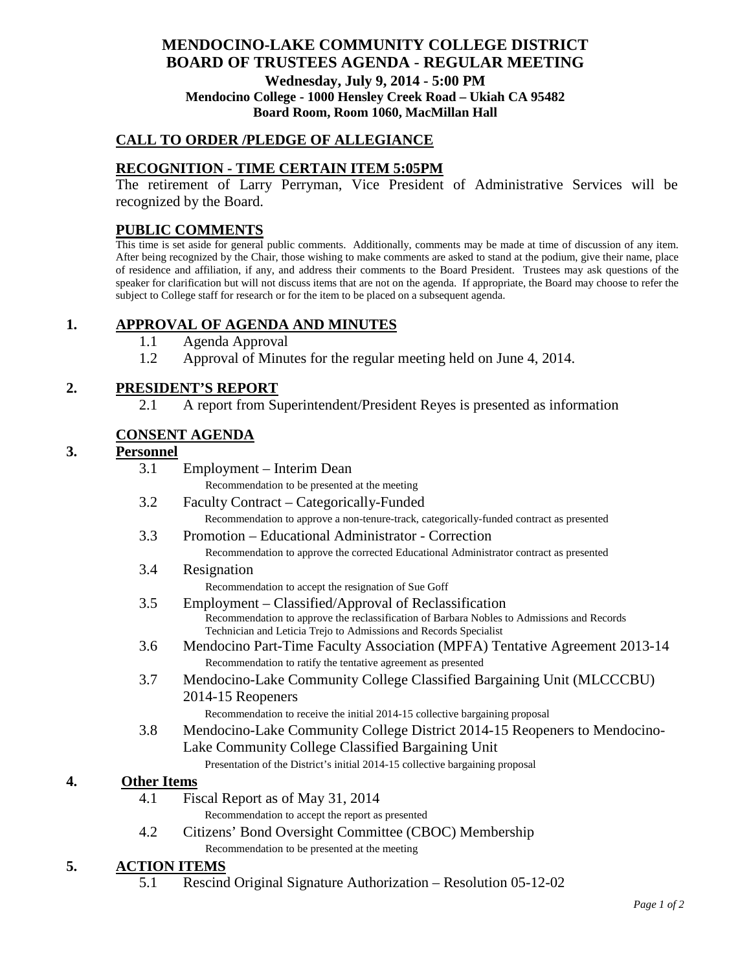### **MENDOCINO-LAKE COMMUNITY COLLEGE DISTRICT BOARD OF TRUSTEES AGENDA** - **REGULAR MEETING Wednesday, July 9, 2014 - 5:00 PM Mendocino College - 1000 Hensley Creek Road – Ukiah CA 95482 Board Room, Room 1060, MacMillan Hall**

## **CALL TO ORDER /PLEDGE OF ALLEGIANCE**

## **RECOGNITION - TIME CERTAIN ITEM 5:05PM**

The retirement of Larry Perryman, Vice President of Administrative Services will be recognized by the Board.

## **PUBLIC COMMENTS**

This time is set aside for general public comments. Additionally, comments may be made at time of discussion of any item. After being recognized by the Chair, those wishing to make comments are asked to stand at the podium, give their name, place of residence and affiliation, if any, and address their comments to the Board President. Trustees may ask questions of the speaker for clarification but will not discuss items that are not on the agenda. If appropriate, the Board may choose to refer the subject to College staff for research or for the item to be placed on a subsequent agenda.

## **1. APPROVAL OF AGENDA AND MINUTES**

- 1.1 Agenda Approval
- 1.2 Approval of Minutes for the regular meeting held on June 4, 2014.

### **2. PRESIDENT'S REPORT**

2.1 A report from Superintendent/President Reyes is presented as information

### **CONSENT AGENDA**

# **3. Personnel**

| J. | rersonnei           |                                                                                                                                                                 |
|----|---------------------|-----------------------------------------------------------------------------------------------------------------------------------------------------------------|
|    | 3.1                 | Employment – Interim Dean                                                                                                                                       |
|    |                     | Recommendation to be presented at the meeting                                                                                                                   |
|    | 3.2                 | Faculty Contract – Categorically-Funded                                                                                                                         |
|    |                     | Recommendation to approve a non-tenure-track, categorically-funded contract as presented                                                                        |
|    | 3.3                 | Promotion – Educational Administrator - Correction                                                                                                              |
|    |                     | Recommendation to approve the corrected Educational Administrator contract as presented                                                                         |
|    | 3.4                 | Resignation                                                                                                                                                     |
|    |                     | Recommendation to accept the resignation of Sue Goff                                                                                                            |
|    | 3.5                 | Employment – Classified/Approval of Reclassification                                                                                                            |
|    |                     | Recommendation to approve the reclassification of Barbara Nobles to Admissions and Records<br>Technician and Leticia Trejo to Admissions and Records Specialist |
|    | 3.6                 | Mendocino Part-Time Faculty Association (MPFA) Tentative Agreement 2013-14                                                                                      |
|    |                     | Recommendation to ratify the tentative agreement as presented                                                                                                   |
|    | 3.7                 | Mendocino-Lake Community College Classified Bargaining Unit (MLCCCBU)                                                                                           |
|    |                     | 2014-15 Reopeners                                                                                                                                               |
|    |                     | Recommendation to receive the initial 2014-15 collective bargaining proposal                                                                                    |
|    | 3.8                 | Mendocino-Lake Community College District 2014-15 Reopeners to Mendocino-                                                                                       |
|    |                     | Lake Community College Classified Bargaining Unit                                                                                                               |
|    |                     | Presentation of the District's initial 2014-15 collective bargaining proposal                                                                                   |
| 4. | <b>Other Items</b>  |                                                                                                                                                                 |
|    | 4.1                 | Fiscal Report as of May 31, 2014                                                                                                                                |
|    |                     | Recommendation to accept the report as presented                                                                                                                |
|    | 4.2                 | Citizens' Bond Oversight Committee (CBOC) Membership                                                                                                            |
|    |                     | Recommendation to be presented at the meeting                                                                                                                   |
| 5. | <b>ACTION ITEMS</b> |                                                                                                                                                                 |
|    | <i>5</i> 1          | Descript Original Signature Authorization Desolution 05,12,02                                                                                                   |